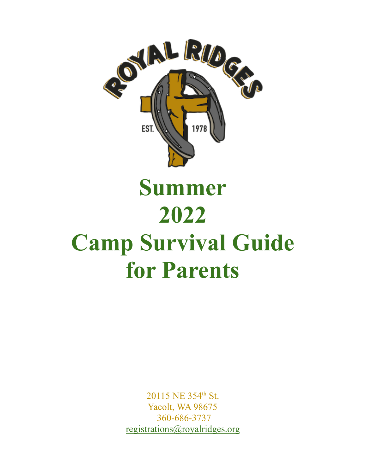

# **Summer 2022 Camp Survival Guide for Parents**

20115 NE 354<sup>th</sup> St. Yacolt, WA 98675 360-686-3737 [registrations@royalridges.org](mailto:registrations@royalridges.org)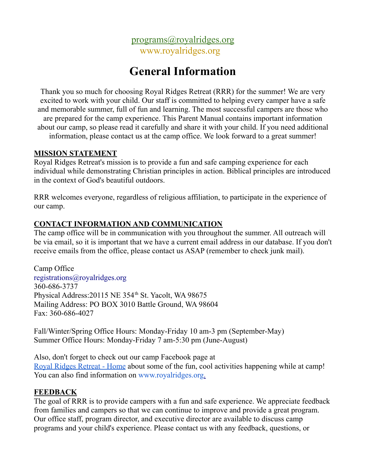

# **General Information**

Thank you so much for choosing Royal Ridges Retreat (RRR) for the summer! We are very excited to work with your child. Our staff is committed to helping every camper have a safe and memorable summer, full of fun and learning. The most successful campers are those who are prepared for the camp experience. This Parent Manual contains important information about our camp, so please read it carefully and share it with your child. If you need additional information, please contact us at the camp office. We look forward to a great summer!

#### **MISSION STATEMENT**

Royal Ridges Retreat's mission is to provide a fun and safe camping experience for each individual while demonstrating Christian principles in action. Biblical principles are introduced in the context of God's beautiful outdoors.

RRR welcomes everyone, regardless of religious affiliation, to participate in the experience of our camp.

#### **CONTACT INFORMATION AND COMMUNICATION**

The camp office will be in communication with you throughout the summer. All outreach will be via email, so it is important that we have a current email address in our database. If you don't receive emails from the office, please contact us ASAP (remember to check junk mail).

Camp Office registrations@royalridges.org 360-686-3737 Physical Address: 20115 NE 354<sup>th</sup> St. Yacolt, WA 98675 Mailing Address: PO BOX 3010 Battle Ground, WA 98604 Fax: 360-686-4027

Fall/Winter/Spring Office Hours: Monday-Friday 10 am-3 pm (September-May) Summer Office Hours: Monday-Friday 7 am-5:30 pm (June-August)

Also, don't forget to check out our camp Facebook page at Royal Ridges [Retreat](https://www.facebook.com/RoyalRidges) - Home about some of the fun, cool activities happening while at camp! You can also find information on [www.royalridges.org.](http://www.royalridges.org/)

#### **FEEDBACK**

The goal of RRR is to provide campers with a fun and safe experience. We appreciate feedback from families and campers so that we can continue to improve and provide a great program. Our office staff, program director, and executive director are available to discuss camp programs and your child's experience. Please contact us with any feedback, questions, or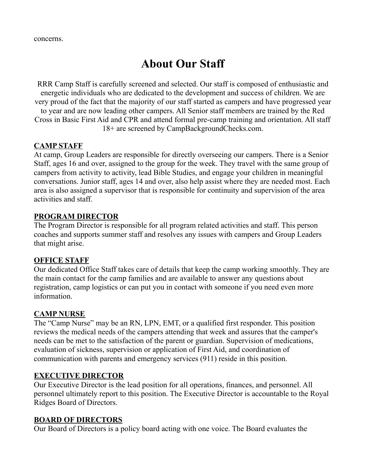concerns.

# **About Our Staff**

RRR Camp Staff is carefully screened and selected. Our staff is composed of enthusiastic and energetic individuals who are dedicated to the development and success of children. We are very proud of the fact that the majority of our staff started as campers and have progressed year to year and are now leading other campers. All Senior staff members are trained by the Red Cross in Basic First Aid and CPR and attend formal pre-camp training and orientation. All staff 18+ are screened by CampBackgroundChecks.com.

#### **CAMP STAFF**

At camp, Group Leaders are responsible for directly overseeing our campers. There is a Senior Staff, ages 16 and over, assigned to the group for the week. They travel with the same group of campers from activity to activity, lead Bible Studies, and engage your children in meaningful conversations. Junior staff, ages 14 and over, also help assist where they are needed most. Each area is also assigned a supervisor that is responsible for continuity and supervision of the area activities and staff.

#### **PROGRAM DIRECTOR**

The Program Director is responsible for all program related activities and staff. This person coaches and supports summer staff and resolves any issues with campers and Group Leaders that might arise.

#### **OFFICE STAFF**

Our dedicated Office Staff takes care of details that keep the camp working smoothly. They are the main contact for the camp families and are available to answer any questions about registration, camp logistics or can put you in contact with someone if you need even more information.

#### **CAMP NURSE**

The "Camp Nurse" may be an RN, LPN, EMT, or a qualified first responder. This position reviews the medical needs of the campers attending that week and assures that the camper's needs can be met to the satisfaction of the parent or guardian. Supervision of medications, evaluation of sickness, supervision or application of First Aid, and coordination of communication with parents and emergency services (911) reside in this position.

#### **EXECUTIVE DIRECTOR**

Our Executive Director is the lead position for all operations, finances, and personnel. All personnel ultimately report to this position. The Executive Director is accountable to the Royal Ridges Board of Directors.

#### **BOARD OF DIRECTORS**

Our Board of Directors is a policy board acting with one voice. The Board evaluates the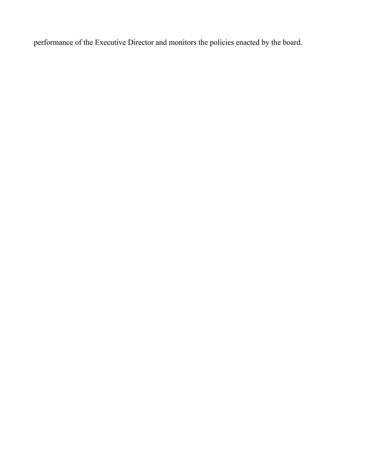performance of the Executive Director and monitors the policies enacted by the board.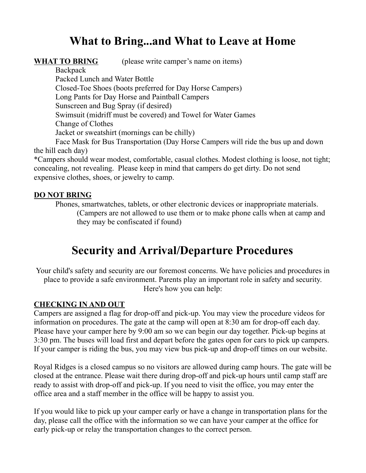# **What to Bring...and What to Leave at Home**

**WHAT TO BRING** (please write camper's name on items)

**Backpack** Packed Lunch and Water Bottle Closed-Toe Shoes (boots preferred for Day Horse Campers) Long Pants for Day Horse and Paintball Campers Sunscreen and Bug Spray (if desired) Swimsuit (midriff must be covered) and Towel for Water Games Change of Clothes Jacket or sweatshirt (mornings can be chilly) Face Mask for Bus Transportation (Day Horse Campers will ride the bus up and down the hill each day)

\*Campers should wear modest, comfortable, casual clothes. Modest clothing is loose, not tight; concealing, not revealing. Please keep in mind that campers do get dirty. Do not send expensive clothes, shoes, or jewelry to camp.

#### **DO NOT BRING**

Phones, smartwatches, tablets, or other electronic devices or inappropriate materials. (Campers are not allowed to use them or to make phone calls when at camp and they may be confiscated if found)

# **Security and Arrival/Departure Procedures**

Your child's safety and security are our foremost concerns. We have policies and procedures in place to provide a safe environment. Parents play an important role in safety and security. Here's how you can help:

#### **CHECKING IN AND OUT**

Campers are assigned a flag for drop-off and pick-up. You may view the procedure videos for information on procedures. The gate at the camp will open at 8:30 am for drop-off each day. Please have your camper here by 9:00 am so we can begin our day together. Pick-up begins at 3:30 pm. The buses will load first and depart before the gates open for cars to pick up campers. If your camper is riding the bus, you may view bus pick-up and drop-off times on our website.

Royal Ridges is a closed campus so no visitors are allowed during camp hours. The gate will be closed at the entrance. Please wait there during drop-off and pick-up hours until camp staff are ready to assist with drop-off and pick-up. If you need to visit the office, you may enter the office area and a staff member in the office will be happy to assist you.

If you would like to pick up your camper early or have a change in transportation plans for the day, please call the office with the information so we can have your camper at the office for early pick-up or relay the transportation changes to the correct person.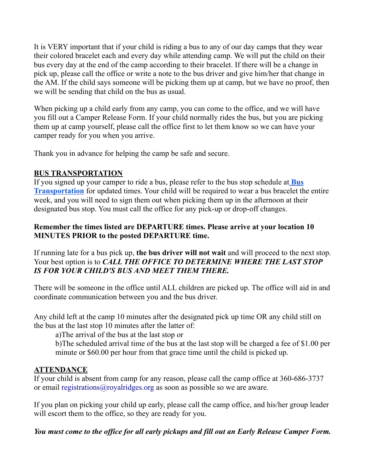It is VERY important that if your child is riding a bus to any of our day camps that they wear their colored bracelet each and every day while attending camp. We will put the child on their bus every day at the end of the camp according to their bracelet. If there will be a change in pick up, please call the office or write a note to the bus driver and give him/her that change in the AM. If the child says someone will be picking them up at camp, but we have no proof, then we will be sending that child on the bus as usual.

When picking up a child early from any camp, you can come to the office, and we will have you fill out a Camper Release Form. If your child normally rides the bus, but you are picking them up at camp yourself, please call the office first to let them know so we can have your camper ready for you when you arrive.

Thank you in advance for helping the camp be safe and secure.

#### **BUS TRANSPORTATION**

If you signed up your camper to ride a bus, please refer to the bus stop schedule at **[Bus](https://www.royalridges.upcsites.org/camp_registration.html) [Transportation](https://www.royalridges.upcsites.org/camp_registration.html)** for updated times. Your child will be required to wear a bus bracelet the entire week, and you will need to sign them out when picking them up in the afternoon at their designated bus stop. You must call the office for any pick-up or drop-off changes.

#### **Remember the times listed are DEPARTURE times. Please arrive at your location 10 MINUTES PRIOR to the posted DEPARTURE time.**

If running late for a bus pick up, **the bus driver will not wait** and will proceed to the next stop. Your best option is to *CALL THE OFFICE TO DETERMINE WHERE THE LAST STOP IS FOR YOUR CHILD'S BUS AND MEET THEM THERE.*

There will be someone in the office until ALL children are picked up. The office will aid in and coordinate communication between you and the bus driver.

Any child left at the camp 10 minutes after the designated pick up time OR any child still on the bus at the last stop 10 minutes after the latter of:

a)The arrival of the bus at the last stop or

b)The scheduled arrival time of the bus at the last stop will be charged a fee of \$1.00 per minute or \$60.00 per hour from that grace time until the child is picked up.

#### **ATTENDANCE**

If your child is absent from camp for any reason, please call the camp office at 360-686-3737 or email registrations@royalridges.org as soon as possible so we are aware.

If you plan on picking your child up early, please call the camp office, and his/her group leader will escort them to the office, so they are ready for you.

You must come to the office for all early pickups and fill out an Early Release Camper Form.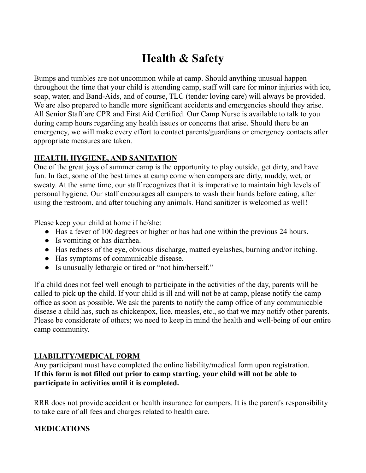# **Health & Safety**

Bumps and tumbles are not uncommon while at camp. Should anything unusual happen throughout the time that your child is attending camp, staff will care for minor injuries with ice, soap, water, and Band-Aids, and of course, TLC (tender loving care) will always be provided. We are also prepared to handle more significant accidents and emergencies should they arise. All Senior Staff are CPR and First Aid Certified. Our Camp Nurse is available to talk to you during camp hours regarding any health issues or concerns that arise. Should there be an emergency, we will make every effort to contact parents/guardians or emergency contacts after appropriate measures are taken.

#### **HEALTH, HYGIENE, AND SANITATION**

One of the great joys of summer camp is the opportunity to play outside, get dirty, and have fun. In fact, some of the best times at camp come when campers are dirty, muddy, wet, or sweaty. At the same time, our staff recognizes that it is imperative to maintain high levels of personal hygiene. Our staff encourages all campers to wash their hands before eating, after using the restroom, and after touching any animals. Hand sanitizer is welcomed as well!

Please keep your child at home if he/she:

- Has a fever of 100 degrees or higher or has had one within the previous 24 hours.
- Is vomiting or has diarrhea.
- Has redness of the eye, obvious discharge, matted eyelashes, burning and/or itching.
- Has symptoms of communicable disease.
- Is unusually lethargic or tired or "not him/herself."

If a child does not feel well enough to participate in the activities of the day, parents will be called to pick up the child. If your child is ill and will not be at camp, please notify the camp office as soon as possible. We ask the parents to notify the camp office of any communicable disease a child has, such as chickenpox, lice, measles, etc., so that we may notify other parents. Please be considerate of others; we need to keep in mind the health and well-being of our entire camp community.

#### **LIABILITY/MEDICAL FORM**

Any participant must have completed the online liability/medical form upon registration. **If this form is not filled out prior to camp starting, your child will not be able to participate in activities until it is completed.**

RRR does not provide accident or health insurance for campers. It is the parent's responsibility to take care of all fees and charges related to health care.

#### **MEDICATIONS**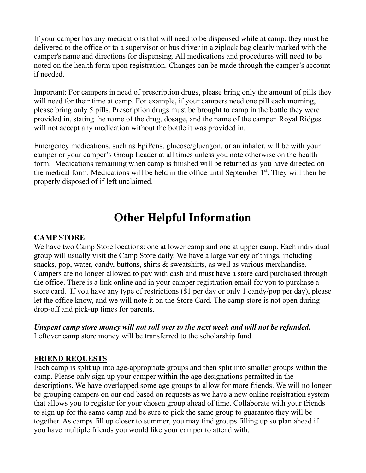If your camper has any medications that will need to be dispensed while at camp, they must be delivered to the office or to a supervisor or bus driver in a ziplock bag clearly marked with the camper's name and directions for dispensing. All medications and procedures will need to be noted on the health form upon registration. Changes can be made through the camper's account if needed.

Important: For campers in need of prescription drugs, please bring only the amount of pills they will need for their time at camp. For example, if your campers need one pill each morning, please bring only 5 pills. Prescription drugs must be brought to camp in the bottle they were provided in, stating the name of the drug, dosage, and the name of the camper. Royal Ridges will not accept any medication without the bottle it was provided in.

Emergency medications, such as EpiPens, glucose/glucagon, or an inhaler, will be with your camper or your camper's Group Leader at all times unless you note otherwise on the health form. Medications remaining when camp is finished will be returned as you have directed on the medical form. Medications will be held in the office until September 1<sup>st</sup>. They will then be properly disposed of if left unclaimed.

# **Other Helpful Information**

#### **CAMP STORE**

We have two Camp Store locations: one at lower camp and one at upper camp. Each individual group will usually visit the Camp Store daily. We have a large variety of things, including snacks, pop, water, candy, buttons, shirts  $\&$  sweatshirts, as well as various merchandise. Campers are no longer allowed to pay with cash and must have a store card purchased through the office. There is a link online and in your camper registration email for you to purchase a store card. If you have any type of restrictions (\$1 per day or only 1 candy/pop per day), please let the office know, and we will note it on the Store Card. The camp store is not open during drop-off and pick-up times for parents.

*Unspent camp store money will not roll over to the next week and will not be refunded.* Leftover camp store money will be transferred to the scholarship fund.

#### **FRIEND REQUESTS**

Each camp is split up into age-appropriate groups and then split into smaller groups within the camp. Please only sign up your camper within the age designations permitted in the descriptions. We have overlapped some age groups to allow for more friends. We will no longer be grouping campers on our end based on requests as we have a new online registration system that allows you to register for your chosen group ahead of time. Collaborate with your friends to sign up for the same camp and be sure to pick the same group to guarantee they will be together. As camps fill up closer to summer, you may find groups filling up so plan ahead if you have multiple friends you would like your camper to attend with.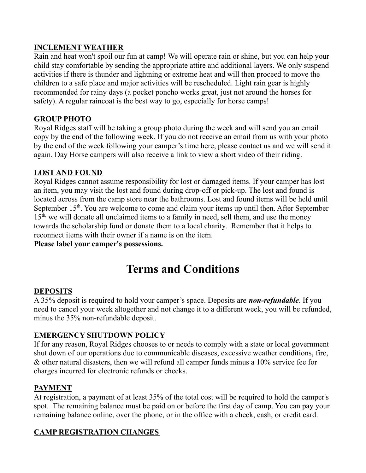#### **INCLEMENT WEATHER**

Rain and heat won't spoil our fun at camp! We will operate rain or shine, but you can help your child stay comfortable by sending the appropriate attire and additional layers. We only suspend activities if there is thunder and lightning or extreme heat and will then proceed to move the children to a safe place and major activities will be rescheduled. Light rain gear is highly recommended for rainy days (a pocket poncho works great, just not around the horses for safety). A regular raincoat is the best way to go, especially for horse camps!

#### **GROUP PHOTO**

Royal Ridges staff will be taking a group photo during the week and will send you an email copy by the end of the following week. If you do not receive an email from us with your photo by the end of the week following your camper's time here, please contact us and we will send it again. Day Horse campers will also receive a link to view a short video of their riding.

#### **LOST AND FOUND**

Royal Ridges cannot assume responsibility for lost or damaged items. If your camper has lost an item, you may visit the lost and found during drop-off or pick-up. The lost and found is located across from the camp store near the bathrooms. Lost and found items will be held until September 15<sup>th</sup>. You are welcome to come and claim your items up until then. After September 15<sup>th,</sup> we will donate all unclaimed items to a family in need, sell them, and use the money towards the scholarship fund or donate them to a local charity. Remember that it helps to reconnect items with their owner if a name is on the item.

**Please label your camper's possessions.**

# **Terms and Conditions**

#### **DEPOSITS**

A 35% deposit is required to hold your camper's space. Deposits are *non-refundable*. If you need to cancel your week altogether and not change it to a different week, you will be refunded, minus the 35% non-refundable deposit.

#### **EMERGENCY SHUTDOWN POLICY**

If for any reason, Royal Ridges chooses to or needs to comply with a state or local government shut down of our operations due to communicable diseases, excessive weather conditions, fire, & other natural disasters, then we will refund all camper funds minus a 10% service fee for charges incurred for electronic refunds or checks.

#### **PAYMENT**

At registration, a payment of at least 35% of the total cost will be required to hold the camper's spot. The remaining balance must be paid on or before the first day of camp. You can pay your remaining balance online, over the phone, or in the office with a check, cash, or credit card.

#### **CAMP REGISTRATION CHANGES**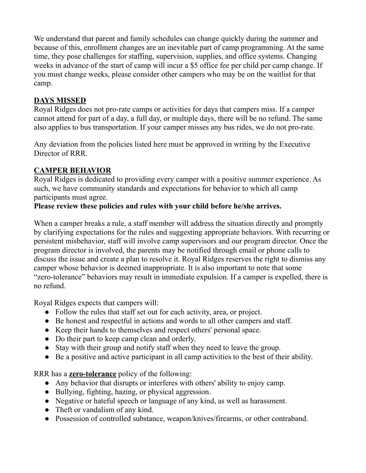We understand that parent and family schedules can change quickly during the summer and because of this, enrollment changes are an inevitable part of camp programming. At the same time, they pose challenges for staffing, supervision, supplies, and office systems. Changing weeks in advance of the start of camp will incur a \$5 office fee per child per camp change. If you must change weeks, please consider other campers who may be on the waitlist for that camp.

#### **DAYS MISSED**

Royal Ridges does not pro-rate camps or activities for days that campers miss. If a camper cannot attend for part of a day, a full day, or multiple days, there will be no refund. The same also applies to bus transportation. If your camper misses any bus rides, we do not pro-rate.

Any deviation from the policies listed here must be approved in writing by the Executive Director of RRR.

### **CAMPER BEHAVIOR**

Royal Ridges is dedicated to providing every camper with a positive summer experience. As such, we have community standards and expectations for behavior to which all camp participants must agree.

#### **Please review these policies and rules with your child before he/she arrives.**

When a camper breaks a rule, a staff member will address the situation directly and promptly by clarifying expectations for the rules and suggesting appropriate behaviors. With recurring or persistent misbehavior, staff will involve camp supervisors and our program director. Once the program director is involved, the parents may be notified through email or phone calls to discuss the issue and create a plan to resolve it. Royal Ridges reserves the right to dismiss any camper whose behavior is deemed inappropriate. It is also important to note that some "zero-tolerance" behaviors may result in immediate expulsion. If a camper is expelled, there is no refund.

Royal Ridges expects that campers will:

- Follow the rules that staff set out for each activity, area, or project.
- Be honest and respectful in actions and words to all other campers and staff.
- Keep their hands to themselves and respect others' personal space.
- Do their part to keep camp clean and orderly.
- Stay with their group and notify staff when they need to leave the group.
- Be a positive and active participant in all camp activities to the best of their ability.

RRR has a **zero-tolerance** policy of the following:

- Any behavior that disrupts or interferes with others' ability to enjoy camp.
- Bullying, fighting, hazing, or physical aggression.
- Negative or hateful speech or language of any kind, as well as harassment.
- Theft or vandalism of any kind.
- Possession of controlled substance, weapon/knives/firearms, or other contraband.